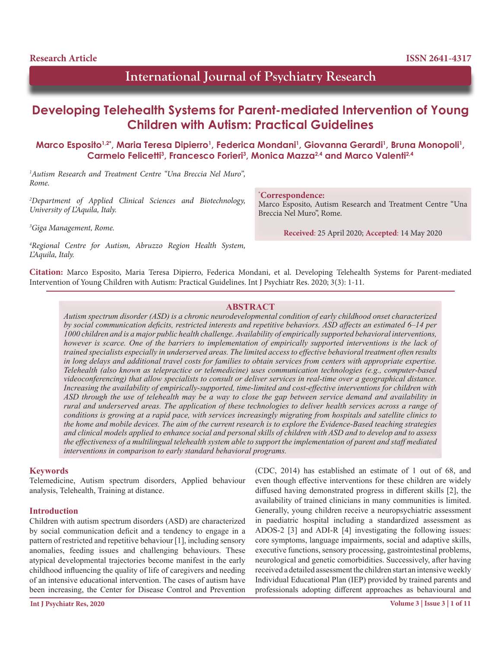# **International Journal of Psychiatry Research**

# **Developing Telehealth Systems for Parent-mediated Intervention of Young Children with Autism: Practical Guidelines**

Marco Esposito<sup>1,2\*</sup>, Maria Teresa Dipierro<sup>1</sup>, Federica Mondani<sup>1</sup>, Giovanna Gerardi<sup>1</sup>, Bruna Monopoli<sup>1</sup>, **Carmelo Felicetti3 , Francesco Forieri3 , Monica Mazza2,4 and Marco Valenti2,4**

*1 Autism Research and Treatment Centre "Una Breccia Nel Muro", Rome.*

*2 Department of Applied Clinical Sciences and Biotechnology, University of L'Aquila, Italy.*

*3 Giga Management, Rome.*

*4 Regional Centre for Autism, Abruzzo Region Health System, L'Aquila, Italy.*

**\* Correspondence:**

Marco Esposito, Autism Research and Treatment Centre "Una Breccia Nel Muro", Rome.

**Received**: 25 April 2020; **Accepted**: 14 May 2020

**Citation:** Marco Esposito, Maria Teresa Dipierro, Federica Mondani, et al. Developing Telehealth Systems for Parent-mediated Intervention of Young Children with Autism: Practical Guidelines. Int J Psychiatr Res. 2020; 3(3): 1-11.

# **ABSTRACT**

*Autism spectrum disorder (ASD) is a chronic neurodevelopmental condition of early childhood onset characterized by social communication deficits, restricted interests and repetitive behaviors. ASD affects an estimated 6–14 per 1000 children and is a major public health challenge. Availability of empirically supported behavioral interventions, however is scarce. One of the barriers to implementation of empirically supported interventions is the lack of trained specialists especially in underserved areas. The limited access to effective behavioral treatment often results in long delays and additional travel costs for families to obtain services from centers with appropriate expertise. Telehealth (also known as telepractice or telemedicine) uses communication technologies (e.g., computer-based videoconferencing) that allow specialists to consult or deliver services in real-time over a geographical distance. Increasing the availability of empirically-supported, time-limited and cost-effective interventions for children with ASD through the use of telehealth may be a way to close the gap between service demand and availability in rural and underserved areas. The application of these technologies to deliver health services across a range of conditions is growing at a rapid pace, with services increasingly migrating from hospitals and satellite clinics to the home and mobile devices. The aim of the current research is to explore the Evidence-Based teaching strategies and clinical models applied to enhance social and personal skills of children with ASD and to develop and to assess the effectiveness of a multilingual telehealth system able to support the implementation of parent and staff mediated interventions in comparison to early standard behavioral programs.*

### **Keywords**

Telemedicine, Autism spectrum disorders, Applied behaviour analysis, Telehealth, Training at distance.

### **Introduction**

Children with autism spectrum disorders (ASD) are characterized by social communication deficit and a tendency to engage in a pattern of restricted and repetitive behaviour [1], including sensory anomalies, feeding issues and challenging behaviours. These atypical developmental trajectories become manifest in the early childhood influencing the quality of life of caregivers and needing of an intensive educational intervention. The cases of autism have been increasing, the Center for Disease Control and Prevention

(CDC, 2014) has established an estimate of 1 out of 68, and even though effective interventions for these children are widely diffused having demonstrated progress in different skills [2], the availability of trained clinicians in many communities is limited. Generally, young children receive a neuropsychiatric assessment in paediatric hospital including a standardized assessment as ADOS-2 [3] and ADI-R [4] investigating the following issues: core symptoms, language impairments, social and adaptive skills, executive functions, sensory processing, gastrointestinal problems, neurological and genetic comorbidities. Successively, after having received a detailed assessment the children start an intensive weekly Individual Educational Plan (IEP) provided by trained parents and professionals adopting different approaches as behavioural and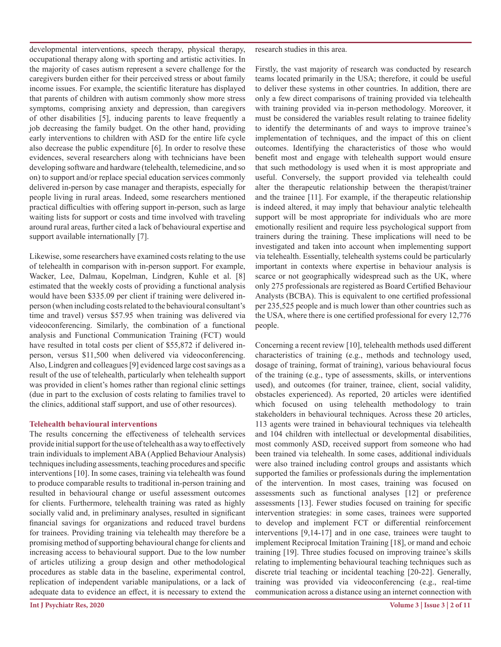developmental interventions, speech therapy, physical therapy, occupational therapy along with sporting and artistic activities. In the majority of cases autism represent a severe challenge for the caregivers burden either for their perceived stress or about family income issues. For example, the scientific literature has displayed that parents of children with autism commonly show more stress symptoms, comprising anxiety and depression, than caregivers of other disabilities [5], inducing parents to leave frequently a job decreasing the family budget. On the other hand, providing early interventions to children with ASD for the entire life cycle also decrease the public expenditure [6]. In order to resolve these evidences, several researchers along with technicians have been developing software and hardware (telehealth, telemedicine, and so on) to support and/or replace special education services commonly delivered in-person by case manager and therapists, especially for people living in rural areas. Indeed, some researchers mentioned practical difficulties with offering support in-person, such as large waiting lists for support or costs and time involved with traveling around rural areas, further cited a lack of behavioural expertise and support available internationally [7].

Likewise, some researchers have examined costs relating to the use of telehealth in comparison with in-person support. For example, Wacker, Lee, Dalmau, Kopelman, Lindgren, Kuhle et al. [8] estimated that the weekly costs of providing a functional analysis would have been \$335.09 per client if training were delivered inperson (when including costs related to the behavioural consultant's time and travel) versus \$57.95 when training was delivered via videoconferencing. Similarly, the combination of a functional analysis and Functional Communication Training (FCT) would have resulted in total costs per client of \$55,872 if delivered inperson, versus \$11,500 when delivered via videoconferencing. Also, Lindgren and colleagues [9] evidenced large cost savings as a result of the use of telehealth, particularly when telehealth support was provided in client's homes rather than regional clinic settings (due in part to the exclusion of costs relating to families travel to the clinics, additional staff support, and use of other resources).

### **Telehealth behavioural interventions**

The results concerning the effectiveness of telehealth services provide initial support for the use of telehealth as a way to effectively train individuals to implement ABA (Applied Behaviour Analysis) techniques including assessments, teaching procedures and specific interventions [10]. In some cases, training via telehealth was found to produce comparable results to traditional in-person training and resulted in behavioural change or useful assessment outcomes for clients. Furthermore, telehealth training was rated as highly socially valid and, in preliminary analyses, resulted in significant financial savings for organizations and reduced travel burdens for trainees. Providing training via telehealth may therefore be a promising method of supporting behavioural change for clients and increasing access to behavioural support. Due to the low number of articles utilizing a group design and other methodological procedures as stable data in the baseline, experimental control, replication of independent variable manipulations, or a lack of adequate data to evidence an effect, it is necessary to extend the

research studies in this area.

Firstly, the vast majority of research was conducted by research teams located primarily in the USA; therefore, it could be useful to deliver these systems in other countries. In addition, there are only a few direct comparisons of training provided via telehealth with training provided via in-person methodology. Moreover, it must be considered the variables result relating to trainee fidelity to identify the determinants of and ways to improve trainee's implementation of techniques, and the impact of this on client outcomes. Identifying the characteristics of those who would benefit most and engage with telehealth support would ensure that such methodology is used when it is most appropriate and useful. Conversely, the support provided via telehealth could alter the therapeutic relationship between the therapist/trainer and the trainee [11]. For example, if the therapeutic relationship is indeed altered, it may imply that behaviour analytic telehealth support will be most appropriate for individuals who are more emotionally resilient and require less psychological support from trainers during the training. These implications will need to be investigated and taken into account when implementing support via telehealth. Essentially, telehealth systems could be particularly important in contexts where expertise in behaviour analysis is scarce or not geographically widespread such as the UK, where only 275 professionals are registered as Board Certified Behaviour Analysts (BCBA). This is equivalent to one certified professional per 235,525 people and is much lower than other countries such as the USA, where there is one certified professional for every 12,776 people.

Concerning a recent review [10], telehealth methods used different characteristics of training (e.g., methods and technology used, dosage of training, format of training), various behavioural focus of the training (e.g., type of assessments, skills, or interventions used), and outcomes (for trainer, trainee, client, social validity, obstacles experienced). As reported, 20 articles were identified which focused on using telehealth methodology to train stakeholders in behavioural techniques. Across these 20 articles, 113 agents were trained in behavioural techniques via telehealth and 104 children with intellectual or developmental disabilities, most commonly ASD, received support from someone who had been trained via telehealth. In some cases, additional individuals were also trained including control groups and assistants which supported the families or professionals during the implementation of the intervention. In most cases, training was focused on assessments such as functional analyses [12] or preference assessments [13]. Fewer studies focused on training for specific intervention strategies: in some cases, trainees were supported to develop and implement FCT or differential reinforcement interventions [9,14-17] and in one case, trainees were taught to implement Reciprocal Imitation Training [18], or mand and echoic training [19]. Three studies focused on improving trainee's skills relating to implementing behavioural teaching techniques such as discrete trial teaching or incidental teaching [20-22]. Generally, training was provided via videoconferencing (e.g., real-time communication across a distance using an internet connection with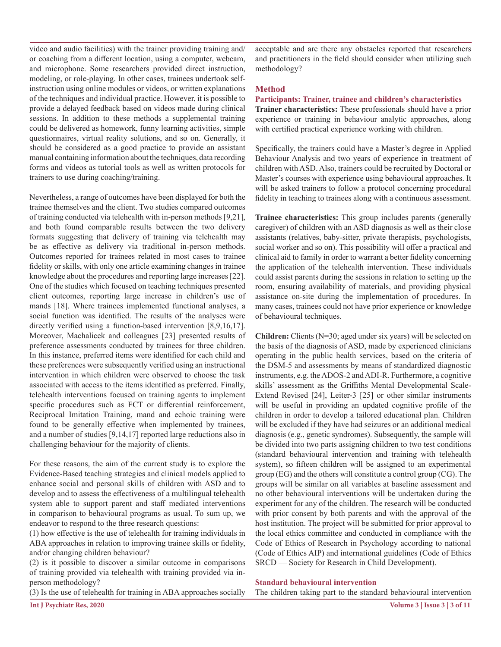video and audio facilities) with the trainer providing training and/ or coaching from a different location, using a computer, webcam, and microphone. Some researchers provided direct instruction, modeling, or role-playing. In other cases, trainees undertook selfinstruction using online modules or videos, or written explanations of the techniques and individual practice. However, it is possible to provide a delayed feedback based on videos made during clinical sessions. In addition to these methods a supplemental training could be delivered as homework, funny learning activities, simple questionnaires, virtual reality solutions, and so on. Generally, it should be considered as a good practice to provide an assistant manual containing information about the techniques, data recording forms and videos as tutorial tools as well as written protocols for trainers to use during coaching/training.

Nevertheless, a range of outcomes have been displayed for both the trainee themselves and the client. Two studies compared outcomes of training conducted via telehealth with in-person methods [9,21], and both found comparable results between the two delivery formats suggesting that delivery of training via telehealth may be as effective as delivery via traditional in-person methods. Outcomes reported for trainees related in most cases to trainee fidelity or skills, with only one article examining changes in trainee knowledge about the procedures and reporting large increases [22]. One of the studies which focused on teaching techniques presented client outcomes, reporting large increase in children's use of mands [18]. Where trainees implemented functional analyses, a social function was identified. The results of the analyses were directly verified using a function-based intervention [8,9,16,17]. Moreover, Machalicek and colleagues [23] presented results of preference assessments conducted by trainees for three children. In this instance, preferred items were identified for each child and these preferences were subsequently verified using an instructional intervention in which children were observed to choose the task associated with access to the items identified as preferred. Finally, telehealth interventions focused on training agents to implement specific procedures such as FCT or differential reinforcement, Reciprocal Imitation Training, mand and echoic training were found to be generally effective when implemented by trainees, and a number of studies [9,14,17] reported large reductions also in challenging behaviour for the majority of clients.

For these reasons, the aim of the current study is to explore the Evidence-Based teaching strategies and clinical models applied to enhance social and personal skills of children with ASD and to develop and to assess the effectiveness of a multilingual telehealth system able to support parent and staff mediated interventions in comparison to behavioural programs as usual. To sum up, we endeavor to respond to the three research questions:

(1) how effective is the use of telehealth for training individuals in ABA approaches in relation to improving trainee skills or fidelity, and/or changing children behaviour?

(2) is it possible to discover a similar outcome in comparisons of training provided via telehealth with training provided via inperson methodology?

(3) Is the use of telehealth for training in ABA approaches socially

acceptable and are there any obstacles reported that researchers and practitioners in the field should consider when utilizing such methodology?

## **Method**

**Participants: Trainer, trainee and children's characteristics Trainer characteristics:** These professionals should have a prior experience or training in behaviour analytic approaches, along with certified practical experience working with children.

Specifically, the trainers could have a Master's degree in Applied Behaviour Analysis and two years of experience in treatment of children with ASD. Also, trainers could be recruited by Doctoral or Master's courses with experience using behavioural approaches. It will be asked trainers to follow a protocol concerning procedural fidelity in teaching to trainees along with a continuous assessment.

**Trainee characteristics:** This group includes parents (generally caregiver) of children with an ASD diagnosis as well as their close assistants (relatives, baby-sitter, private therapists, psychologists, social worker and so on). This possibility will offer a practical and clinical aid to family in order to warrant a better fidelity concerning the application of the telehealth intervention. These individuals could assist parents during the sessions in relation to setting up the room, ensuring availability of materials, and providing physical assistance on-site during the implementation of procedures. In many cases, trainees could not have prior experience or knowledge of behavioural techniques.

**Children:** Clients (N=30; aged under six years) will be selected on the basis of the diagnosis of ASD, made by experienced clinicians operating in the public health services, based on the criteria of the DSM-5 and assessments by means of standardized diagnostic instruments, e.g. the ADOS-2 and ADI-R. Furthermore, a cognitive skills' assessment as the Griffiths Mental Developmental Scale-Extend Revised [24], Leiter-3 [25] or other similar instruments will be useful in providing an updated cognitive profile of the children in order to develop a tailored educational plan. Children will be excluded if they have had seizures or an additional medical diagnosis (e.g., genetic syndromes). Subsequently, the sample will be divided into two parts assigning children to two test conditions (standard behavioural intervention and training with telehealth system), so fifteen children will be assigned to an experimental group (EG) and the others will constitute a control group (CG). The groups will be similar on all variables at baseline assessment and no other behavioural interventions will be undertaken during the experiment for any of the children. The research will be conducted with prior consent by both parents and with the approval of the host institution. The project will be submitted for prior approval to the local ethics committee and conducted in compliance with the Code of Ethics of Research in Psychology according to national (Code of Ethics AIP) and international guidelines (Code of Ethics SRCD — Society for Research in Child Development).

### **Standard behavioural intervention**

The children taking part to the standard behavioural intervention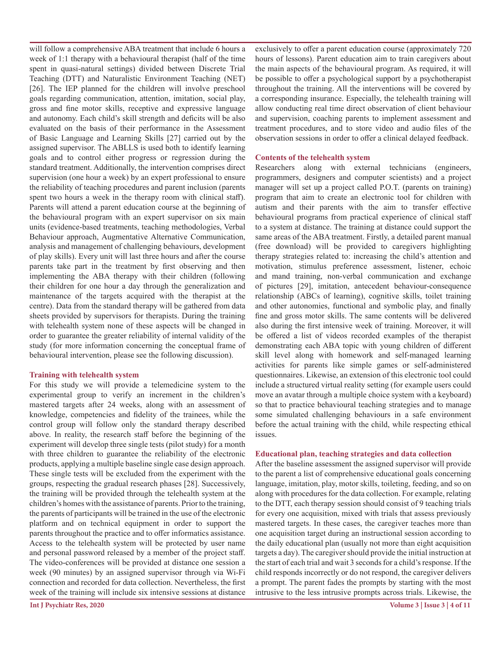will follow a comprehensive ABA treatment that include 6 hours a week of 1:1 therapy with a behavioural therapist (half of the time spent in quasi-natural settings) divided between Discrete Trial Teaching (DTT) and Naturalistic Environment Teaching (NET) [26]. The IEP planned for the children will involve preschool goals regarding communication, attention, imitation, social play, gross and fine motor skills, receptive and expressive language and autonomy. Each child's skill strength and deficits will be also evaluated on the basis of their performance in the Assessment of Basic Language and Learning Skills [27] carried out by the assigned supervisor. The ABLLS is used both to identify learning goals and to control either progress or regression during the standard treatment. Additionally, the intervention comprises direct supervision (one hour a week) by an expert professional to ensure the reliability of teaching procedures and parent inclusion (parents spent two hours a week in the therapy room with clinical staff). Parents will attend a parent education course at the beginning of the behavioural program with an expert supervisor on six main units (evidence-based treatments, teaching methodologies, Verbal Behaviour approach, Augmentative Alternative Communication, analysis and management of challenging behaviours, development of play skills). Every unit will last three hours and after the course parents take part in the treatment by first observing and then implementing the ABA therapy with their children (following their children for one hour a day through the generalization and maintenance of the targets acquired with the therapist at the centre). Data from the standard therapy will be gathered from data sheets provided by supervisors for therapists. During the training with telehealth system none of these aspects will be changed in order to guarantee the greater reliability of internal validity of the study (for more information concerning the conceptual frame of behavioural intervention, please see the following discussion).

### **Training with telehealth system**

For this study we will provide a telemedicine system to the experimental group to verify an increment in the children's mastered targets after 24 weeks, along with an assessment of knowledge, competencies and fidelity of the trainees, while the control group will follow only the standard therapy described above. In reality, the research staff before the beginning of the experiment will develop three single tests (pilot study) for a month with three children to guarantee the reliability of the electronic products, applying a multiple baseline single case design approach. These single tests will be excluded from the experiment with the groups, respecting the gradual research phases [28]. Successively, the training will be provided through the telehealth system at the children's homes with the assistance of parents. Prior to the training, the parents of participants will be trained in the use of the electronic platform and on technical equipment in order to support the parents throughout the practice and to offer informatics assistance. Access to the telehealth system will be protected by user name and personal password released by a member of the project staff. The video-conferences will be provided at distance one session a week (90 minutes) by an assigned supervisor through via Wi-Fi connection and recorded for data collection. Nevertheless, the first week of the training will include six intensive sessions at distance

exclusively to offer a parent education course (approximately 720 hours of lessons). Parent education aim to train caregivers about the main aspects of the behavioural program. As required, it will be possible to offer a psychological support by a psychotherapist throughout the training. All the interventions will be covered by a corresponding insurance. Especially, the telehealth training will allow conducting real time direct observation of client behaviour and supervision, coaching parents to implement assessment and treatment procedures, and to store video and audio files of the observation sessions in order to offer a clinical delayed feedback.

# **Contents of the telehealth system**

Researchers along with external technicians (engineers, programmers, designers and computer scientists) and a project manager will set up a project called P.O.T. (parents on training) program that aim to create an electronic tool for children with autism and their parents with the aim to transfer effective behavioural programs from practical experience of clinical staff to a system at distance. The training at distance could support the same areas of the ABA treatment. Firstly, a detailed parent manual (free download) will be provided to caregivers highlighting therapy strategies related to: increasing the child's attention and motivation, stimulus preference assessment, listener, echoic and mand training, non-verbal communication and exchange of pictures [29], imitation, antecedent behaviour-consequence relationship (ABCs of learning), cognitive skills, toilet training and other autonomies, functional and symbolic play, and finally fine and gross motor skills. The same contents will be delivered also during the first intensive week of training. Moreover, it will be offered a list of videos recorded examples of the therapist demonstrating each ABA topic with young children of different skill level along with homework and self-managed learning activities for parents like simple games or self-administered questionnaires. Likewise, an extension of this electronic tool could include a structured virtual reality setting (for example users could move an avatar through a multiple choice system with a keyboard) so that to practice behavioural teaching strategies and to manage some simulated challenging behaviours in a safe environment before the actual training with the child, while respecting ethical issues.

# **Educational plan, teaching strategies and data collection**

After the baseline assessment the assigned supervisor will provide to the parent a list of comprehensive educational goals concerning language, imitation, play, motor skills, toileting, feeding, and so on along with procedures for the data collection. For example, relating to the DTT, each therapy session should consist of 9 teaching trials for every one acquisition, mixed with trials that assess previously mastered targets. In these cases, the caregiver teaches more than one acquisition target during an instructional session according to the daily educational plan (usually not more than eight acquisition targets a day). The caregiver should provide the initial instruction at the start of each trial and wait 3 seconds for a child's response. If the child responds incorrectly or do not respond, the caregiver delivers a prompt. The parent fades the prompts by starting with the most intrusive to the less intrusive prompts across trials. Likewise, the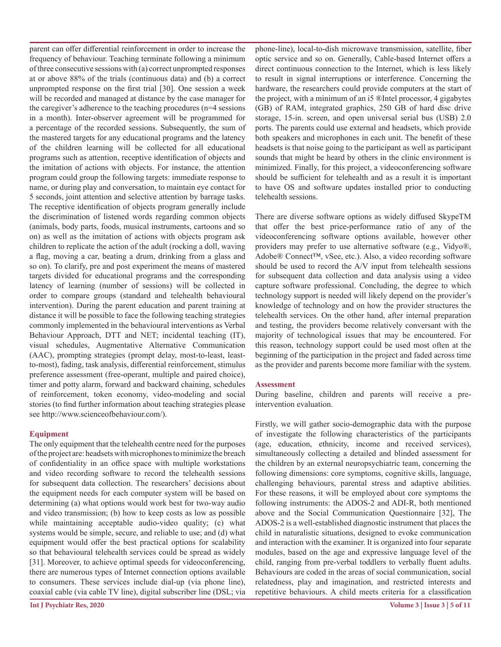parent can offer differential reinforcement in order to increase the frequency of behaviour. Teaching terminate following a minimum of three consecutive sessions with (a) correct unprompted responses at or above 88% of the trials (continuous data) and (b) a correct unprompted response on the first trial [30]. One session a week will be recorded and managed at distance by the case manager for the caregiver's adherence to the teaching procedures (n=4 sessions in a month). Inter-observer agreement will be programmed for a percentage of the recorded sessions. Subsequently, the sum of the mastered targets for any educational programs and the latency of the children learning will be collected for all educational programs such as attention, receptive identification of objects and the imitation of actions with objects. For instance, the attention program could group the following targets: immediate response to name, or during play and conversation, to maintain eye contact for 5 seconds, joint attention and selective attention by barrage tasks. The receptive identification of objects program generally include the discrimination of listened words regarding common objects (animals, body parts, foods, musical instruments, cartoons and so on) as well as the imitation of actions with objects program ask children to replicate the action of the adult (rocking a doll, waving a flag, moving a car, beating a drum, drinking from a glass and so on). To clarify, pre and post experiment the means of mastered targets divided for educational programs and the corresponding latency of learning (number of sessions) will be collected in order to compare groups (standard and telehealth behavioural intervention). During the parent education and parent training at distance it will be possible to face the following teaching strategies commonly implemented in the behavioural interventions as Verbal Behaviour Approach, DTT and NET; incidental teaching (IT), visual schedules, Augmentative Alternative Communication (AAC), prompting strategies (prompt delay, most-to-least, leastto-most), fading, task analysis, differential reinforcement, stimulus preference assessment (free-operant, multiple and paired choice), timer and potty alarm, forward and backward chaining, schedules of reinforcement, token economy, video-modeling and social stories (to find further information about teaching strategies please see http://www.scienceofbehaviour.com/).

### **Equipment**

The only equipment that the telehealth centre need for the purposes of the project are: headsets with microphones to minimize the breach of confidentiality in an office space with multiple workstations and video recording software to record the telehealth sessions for subsequent data collection. The researchers' decisions about the equipment needs for each computer system will be based on determining (a) what options would work best for two-way audio and video transmission; (b) how to keep costs as low as possible while maintaining acceptable audio-video quality; (c) what systems would be simple, secure, and reliable to use; and (d) what equipment would offer the best practical options for scalability so that behavioural telehealth services could be spread as widely [31]. Moreover, to achieve optimal speeds for videoconferencing, there are numerous types of Internet connection options available to consumers. These services include dial-up (via phone line), coaxial cable (via cable TV line), digital subscriber line (DSL; via

phone-line), local-to-dish microwave transmission, satellite, fiber optic service and so on. Generally, Cable-based Internet offers a direct continuous connection to the Internet, which is less likely to result in signal interruptions or interference. Concerning the hardware, the researchers could provide computers at the start of the project, with a minimum of an i5 ®Intel processor, 4 gigabytes (GB) of RAM, integrated graphics, 250 GB of hard disc drive storage, 15-in. screen, and open universal serial bus (USB) 2.0 ports. The parents could use external and headsets, which provide both speakers and microphones in each unit. The benefit of these headsets is that noise going to the participant as well as participant sounds that might be heard by others in the clinic environment is minimized. Finally, for this project, a videoconferencing software should be sufficient for telehealth and as a result it is important to have OS and software updates installed prior to conducting telehealth sessions.

There are diverse software options as widely diffused SkypeTM that offer the best price-performance ratio of any of the videoconferencing software options available, however other providers may prefer to use alternative software (e.g., Vidyo®, Adobe® Connect™, vSee, etc.). Also, a video recording software should be used to record the A/V input from telehealth sessions for subsequent data collection and data analysis using a video capture software professional. Concluding, the degree to which technology support is needed will likely depend on the provider's knowledge of technology and on how the provider structures the telehealth services. On the other hand, after internal preparation and testing, the providers become relatively conversant with the majority of technological issues that may be encountered. For this reason, technology support could be used most often at the beginning of the participation in the project and faded across time as the provider and parents become more familiar with the system.

### **Assessment**

During baseline, children and parents will receive a preintervention evaluation.

Firstly, we will gather socio-demographic data with the purpose of investigate the following characteristics of the participants (age, education, ethnicity, income and received services), simultaneously collecting a detailed and blinded assessment for the children by an external neuropsychiatric team, concerning the following dimensions: core symptoms, cognitive skills, language, challenging behaviours, parental stress and adaptive abilities. For these reasons, it will be employed about core symptoms the following instruments: the ADOS-2 and ADI-R, both mentioned above and the Social Communication Questionnaire [32], The ADOS-2 is a well-established diagnostic instrument that places the child in naturalistic situations, designed to evoke communication and interaction with the examiner. It is organized into four separate modules, based on the age and expressive language level of the child, ranging from pre-verbal toddlers to verbally fluent adults. Behaviours are coded in the areas of social communication, social relatedness, play and imagination, and restricted interests and repetitive behaviours. A child meets criteria for a classification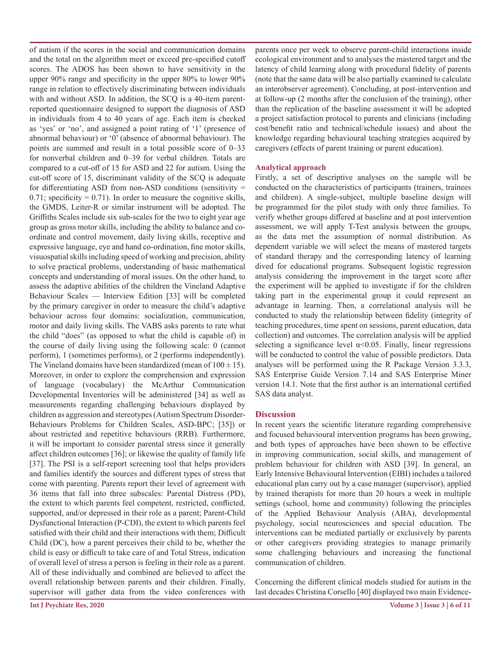of autism if the scores in the social and communication domains and the total on the algorithm meet or exceed pre-specified cutoff scores. The ADOS has been shown to have sensitivity in the upper 90% range and specificity in the upper 80% to lower 90% range in relation to effectively discriminating between individuals with and without ASD. In addition, the SCQ is a 40-item parentreported questionnaire designed to support the diagnosis of ASD in individuals from 4 to 40 years of age. Each item is checked as 'yes' or 'no', and assigned a point rating of '1' (presence of abnormal behaviour) or '0' (absence of abnormal behaviour). The points are summed and result in a total possible score of 0–33 for nonverbal children and 0–39 for verbal children. Totals are compared to a cut-off of 15 for ASD and 22 for autism. Using the cut-off score of 15, discriminant validity of the SCQ is adequate for differentiating ASD from non-ASD conditions (sensitivity = 0.71; specificity =  $0.71$ ). In order to measure the cognitive skills, the GMDS, Leiter-R or similar instrument will be adopted. The Griffiths Scales include six sub-scales for the two to eight year age group as gross motor skills, including the ability to balance and coordinate and control movement, daily living skills, receptive and expressive language, eye and hand co-ordination, fine motor skills, visuospatial skills including speed of working and precision, ability to solve practical problems, understanding of basic mathematical concepts and understanding of moral issues. On the other hand, to assess the adaptive abilities of the children the Vineland Adaptive Behaviour Scales — Interview Edition [33] will be completed by the primary caregiver in order to measure the child's adaptive behaviour across four domains: socialization, communication, motor and daily living skills. The VABS asks parents to rate what the child "does" (as opposed to what the child is capable of) in the course of daily living using the following scale: 0 (cannot perform), 1 (sometimes performs), or 2 (performs independently). The Vineland domains have been standardized (mean of  $100 \pm 15$ ). Moreover, in order to explore the comprehension and expression of language (vocabulary) the McArthur Communication Developmental Inventories will be administered [34] as well as measurements regarding challenging behaviours displayed by children as aggression and stereotypes (Autism Spectrum Disorder-Behaviours Problems for Children Scales, ASD-BPC; [35]) or about restricted and repetitive behaviours (RRB). Furthermore, it will be important to consider parental stress since it generally affect children outcomes [36]; or likewise the quality of family life [37]. The PSI is a self-report screening tool that helps providers and families identify the sources and different types of stress that come with parenting. Parents report their level of agreement with 36 items that fall into three subscales: Parental Distress (PD), the extent to which parents feel competent, restricted, conflicted, supported, and/or depressed in their role as a parent; Parent-Child Dysfunctional Interaction (P-CDI), the extent to which parents feel satisfied with their child and their interactions with them; Difficult Child (DC), how a parent perceives their child to be, whether the child is easy or difficult to take care of and Total Stress, indication of overall level of stress a person is feeling in their role as a parent. All of these individually and combined are believed to affect the overall relationship between parents and their children. Finally, supervisor will gather data from the video conferences with

parents once per week to observe parent-child interactions inside ecological environment and to analyses the mastered target and the latency of child learning along with procedural fidelity of parents (note that the same data will be also partially examined to calculate an interobserver agreement). Concluding, at post-intervention and at follow-up (2 months after the conclusion of the training), other than the replication of the baseline assessment it will be adopted a project satisfaction protocol to parents and clinicians (including cost/benefit ratio and technical/schedule issues) and about the knowledge regarding behavioural teaching strategies acquired by caregivers (effects of parent training or parent education).

### **Analytical approach**

Firstly, a set of descriptive analyses on the sample will be conducted on the characteristics of participants (trainers, trainees and children). A single-subject, multiple baseline design will be programmed for the pilot study with only three families. To verify whether groups differed at baseline and at post intervention assessment, we will apply T-Test analysis between the groups, as the data met the assumption of normal distribution. As dependent variable we will select the means of mastered targets of standard therapy and the corresponding latency of learning dived for educational programs. Subsequent logistic regression analysis considering the improvement in the target score after the experiment will be applied to investigate if for the children taking part in the experimental group it could represent an advantage in learning. Then, a correlational analysis will be conducted to study the relationship between fidelity (integrity of teaching procedures, time spent on sessions, parent education, data collection) and outcomes. The correlation analysis will be applied selecting a significance level  $\alpha$ <0.05. Finally, linear regressions will be conducted to control the value of possible predictors. Data analyses will be performed using the R Package Version 3.3.3, SAS Enterprise Guide Version 7.14 and SAS Enterprise Miner version 14.1. Note that the first author is an international certified SAS data analyst.

#### **Discussion**

In recent years the scientific literature regarding comprehensive and focused behavioural intervention programs has been growing, and both types of approaches have been shown to be effective in improving communication, social skills, and management of problem behaviour for children with ASD [39]. In general, an Early Intensive Behavioural Intervention (EIBI) includes a tailored educational plan carry out by a case manager (supervisor), applied by trained therapists for more than 20 hours a week in multiple settings (school, home and community) following the principles of the Applied Behaviour Analysis (ABA), developmental psychology, social neurosciences and special education. The interventions can be mediated partially or exclusively by parents or other caregivers providing strategies to manage primarily some challenging behaviours and increasing the functional communication of children.

Concerning the different clinical models studied for autism in the last decades Christina Corsello [40] displayed two main Evidence-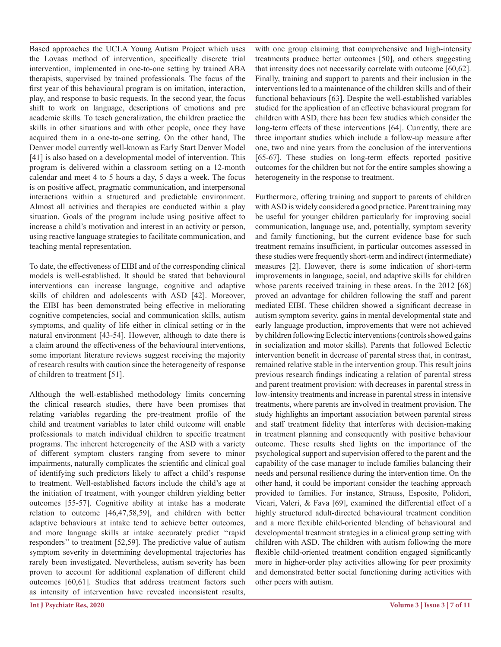Based approaches the UCLA Young Autism Project which uses the Lovaas method of intervention, specifically discrete trial intervention, implemented in one-to-one setting by trained ABA therapists, supervised by trained professionals. The focus of the first year of this behavioural program is on imitation, interaction, play, and response to basic requests. In the second year, the focus shift to work on language, descriptions of emotions and pre academic skills. To teach generalization, the children practice the skills in other situations and with other people, once they have acquired them in a one-to-one setting. On the other hand, The Denver model currently well-known as Early Start Denver Model [41] is also based on a developmental model of intervention. This program is delivered within a classroom setting on a 12-month calendar and meet 4 to 5 hours a day, 5 days a week. The focus is on positive affect, pragmatic communication, and interpersonal interactions within a structured and predictable environment. Almost all activities and therapies are conducted within a play situation. Goals of the program include using positive affect to increase a child's motivation and interest in an activity or person, using reactive language strategies to facilitate communication, and teaching mental representation.

To date, the effectiveness of EIBI and of the corresponding clinical models is well-established. It should be stated that behavioural interventions can increase language, cognitive and adaptive skills of children and adolescents with ASD [42]. Moreover, the EIBI has been demonstrated being effective in meliorating cognitive competencies, social and communication skills, autism symptoms, and quality of life either in clinical setting or in the natural environment [43-54]. However, although to date there is a claim around the effectiveness of the behavioural interventions, some important literature reviews suggest receiving the majority of research results with caution since the heterogeneity of response of children to treatment [51].

Although the well-established methodology limits concerning the clinical research studies, there have been promises that relating variables regarding the pre-treatment profile of the child and treatment variables to later child outcome will enable professionals to match individual children to specific treatment programs. The inherent heterogeneity of the ASD with a variety of different symptom clusters ranging from severe to minor impairments, naturally complicates the scientific and clinical goal of identifying such predictors likely to affect a child's response to treatment. Well-established factors include the child's age at the initiation of treatment, with younger children yielding better outcomes [55-57]. Cognitive ability at intake has a moderate relation to outcome [46,47,58,59], and children with better adaptive behaviours at intake tend to achieve better outcomes, and more language skills at intake accurately predict ''rapid responders'' to treatment [52,59]. The predictive value of autism symptom severity in determining developmental trajectories has rarely been investigated. Nevertheless, autism severity has been proven to account for additional explanation of different child outcomes [60,61]. Studies that address treatment factors such as intensity of intervention have revealed inconsistent results,

with one group claiming that comprehensive and high-intensity treatments produce better outcomes [50], and others suggesting that intensity does not necessarily correlate with outcome [60,62]. Finally, training and support to parents and their inclusion in the interventions led to a maintenance of the children skills and of their functional behaviours [63]. Despite the well-established variables studied for the application of an effective behavioural program for children with ASD, there has been few studies which consider the long-term effects of these interventions [64]. Currently, there are three important studies which include a follow-up measure after one, two and nine years from the conclusion of the interventions [65-67]. These studies on long-term effects reported positive outcomes for the children but not for the entire samples showing a heterogeneity in the response to treatment.

Furthermore, offering training and support to parents of children with ASD is widely considered a good practice. Parent training may be useful for younger children particularly for improving social communication, language use, and, potentially, symptom severity and family functioning, but the current evidence base for such treatment remains insufficient, in particular outcomes assessed in these studies were frequently short-term and indirect (intermediate) measures [2]. However, there is some indication of short-term improvements in language, social, and adaptive skills for children whose parents received training in these areas. In the 2012 [68] proved an advantage for children following the staff and parent mediated EIBI. These children showed a significant decrease in autism symptom severity, gains in mental developmental state and early language production, improvements that were not achieved by children following Eclectic interventions (controls showed gains in socialization and motor skills). Parents that followed Eclectic intervention benefit in decrease of parental stress that, in contrast, remained relative stable in the intervention group. This result joins previous research findings indicating a relation of parental stress and parent treatment provision: with decreases in parental stress in low-intensity treatments and increase in parental stress in intensive treatments, where parents are involved in treatment provision. The study highlights an important association between parental stress and staff treatment fidelity that interferes with decision-making in treatment planning and consequently with positive behaviour outcome. These results shed lights on the importance of the psychological support and supervision offered to the parent and the capability of the case manager to include families balancing their needs and personal resilience during the intervention time. On the other hand, it could be important consider the teaching approach provided to families. For instance, Strauss, Esposito, Polidori, Vicari, Valeri, & Fava [69], examined the differential effect of a highly structured adult-directed behavioural treatment condition and a more flexible child-oriented blending of behavioural and developmental treatment strategies in a clinical group setting with children with ASD. The children with autism following the more flexible child-oriented treatment condition engaged significantly more in higher-order play activities allowing for peer proximity and demonstrated better social functioning during activities with other peers with autism.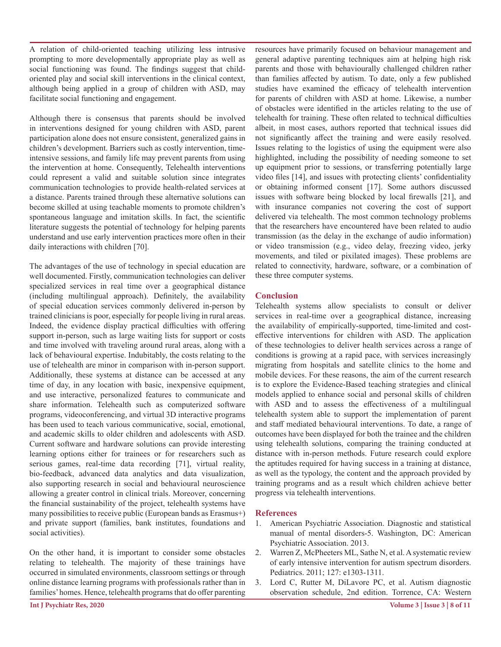A relation of child-oriented teaching utilizing less intrusive prompting to more developmentally appropriate play as well as social functioning was found. The findings suggest that childoriented play and social skill interventions in the clinical context, although being applied in a group of children with ASD, may facilitate social functioning and engagement.

Although there is consensus that parents should be involved in interventions designed for young children with ASD, parent participation alone does not ensure consistent, generalized gains in children's development. Barriers such as costly intervention, timeintensive sessions, and family life may prevent parents from using the intervention at home. Consequently, Telehealth interventions could represent a valid and suitable solution since integrates communication technologies to provide health-related services at a distance. Parents trained through these alternative solutions can become skilled at using teachable moments to promote children's spontaneous language and imitation skills. In fact, the scientific literature suggests the potential of technology for helping parents understand and use early intervention practices more often in their daily interactions with children [70].

The advantages of the use of technology in special education are well documented. Firstly, communication technologies can deliver specialized services in real time over a geographical distance (including multilingual approach). Definitely, the availability of special education services commonly delivered in-person by trained clinicians is poor, especially for people living in rural areas. Indeed, the evidence display practical difficulties with offering support in-person, such as large waiting lists for support or costs and time involved with traveling around rural areas, along with a lack of behavioural expertise. Indubitably, the costs relating to the use of telehealth are minor in comparison with in-person support. Additionally, these systems at distance can be accessed at any time of day, in any location with basic, inexpensive equipment, and use interactive, personalized features to communicate and share information. Telehealth such as computerized software programs, videoconferencing, and virtual 3D interactive programs has been used to teach various communicative, social, emotional, and academic skills to older children and adolescents with ASD. Current software and hardware solutions can provide interesting learning options either for trainees or for researchers such as serious games, real-time data recording [71], virtual reality, bio-feedback, advanced data analytics and data visualization, also supporting research in social and behavioural neuroscience allowing a greater control in clinical trials. Moreover, concerning the financial sustainability of the project, telehealth systems have many possibilities to receive public (European bands as Erasmus+) and private support (families, bank institutes, foundations and social activities).

On the other hand, it is important to consider some obstacles relating to telehealth. The majority of these trainings have occurred in simulated environments, classroom settings or through online distance learning programs with professionals rather than in families' homes. Hence, telehealth programs that do offer parenting

resources have primarily focused on behaviour management and general adaptive parenting techniques aim at helping high risk parents and those with behaviourally challenged children rather than families affected by autism. To date, only a few published studies have examined the efficacy of telehealth intervention for parents of children with ASD at home. Likewise, a number of obstacles were identified in the articles relating to the use of telehealth for training. These often related to technical difficulties albeit, in most cases, authors reported that technical issues did not significantly affect the training and were easily resolved. Issues relating to the logistics of using the equipment were also highlighted, including the possibility of needing someone to set up equipment prior to sessions, or transferring potentially large video files [14], and issues with protecting clients' confidentiality or obtaining informed consent [17]. Some authors discussed issues with software being blocked by local firewalls [21], and with insurance companies not covering the cost of support delivered via telehealth. The most common technology problems that the researchers have encountered have been related to audio transmission (as the delay in the exchange of audio information) or video transmission (e.g., video delay, freezing video, jerky movements, and tiled or pixilated images). These problems are related to connectivity, hardware, software, or a combination of these three computer systems.

## **Conclusion**

Telehealth systems allow specialists to consult or deliver services in real-time over a geographical distance, increasing the availability of empirically-supported, time-limited and costeffective interventions for children with ASD. The application of these technologies to deliver health services across a range of conditions is growing at a rapid pace, with services increasingly migrating from hospitals and satellite clinics to the home and mobile devices. For these reasons, the aim of the current research is to explore the Evidence-Based teaching strategies and clinical models applied to enhance social and personal skills of children with ASD and to assess the effectiveness of a multilingual telehealth system able to support the implementation of parent and staff mediated behavioural interventions. To date, a range of outcomes have been displayed for both the trainee and the children using telehealth solutions, comparing the training conducted at distance with in-person methods. Future research could explore the aptitudes required for having success in a training at distance, as well as the typology, the content and the approach provided by training programs and as a result which children achieve better progress via telehealth interventions.

### **References**

- 1. American Psychiatric Association. Diagnostic and statistical manual of mental disorders-5. Washington, DC: American Psychiatric Association. 2013.
- 2. Warren Z, McPheeters ML, Sathe N, et al. A systematic review of early intensive intervention for autism spectrum disorders. Pediatrics. 2011; 127: e1303-1311.
- 3. Lord C, Rutter M, DiLavore PC, et al. Autism diagnostic observation schedule, 2nd edition. Torrence, CA: Western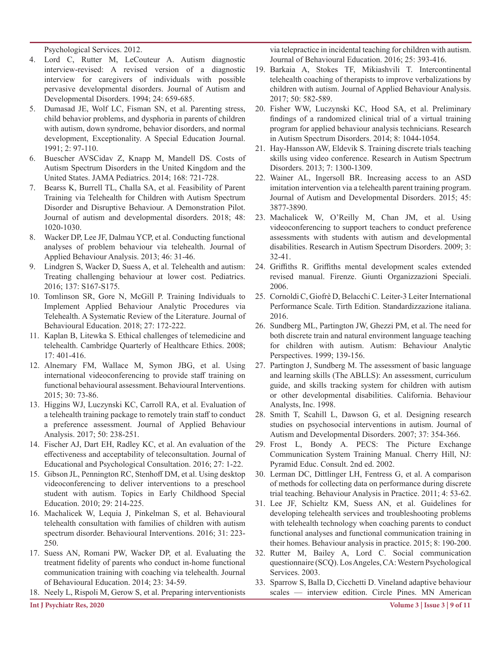Psychological Services. 2012.

- 4. Lord C, Rutter M, LeCouteur A. Autism diagnostic interview-revised: A revised version of a diagnostic interview for caregivers of individuals with possible pervasive developmental disorders. Journal of Autism and Developmental Disorders. 1994; 24: 659-685.
- 5. Dumasad JE, Wolf LC, Fisman SN, et al. Parenting stress, child behavior problems, and dysphoria in parents of children with autism, down syndrome, behavior disorders, and normal development, Exceptionality. A Special Education Journal. 1991; 2: 97-110.
- 6. Buescher AVSCidav Z, Knapp M, Mandell DS. Costs of Autism Spectrum Disorders in the United Kingdom and the United States. JAMA Pediatrics. 2014; 168: 721-728.
- 7. Bearss K, Burrell TL, Challa SA, et al. Feasibility of Parent Training via Telehealth for Children with Autism Spectrum Disorder and Disruptive Behaviour. A Demonstration Pilot. Journal of autism and developmental disorders. 2018; 48: 1020-1030.
- 8. Wacker DP, Lee JF, Dalmau YCP, et al. Conducting functional analyses of problem behaviour via telehealth. Journal of Applied Behaviour Analysis. 2013; 46: 31-46.
- 9. Lindgren S, Wacker D, Suess A, et al. Telehealth and autism: Treating challenging behaviour at lower cost. Pediatrics. 2016; 137: S167-S175.
- 10. Tomlinson SR, Gore N, McGill P. Training Individuals to Implement Applied Behaviour Analytic Procedures via Telehealth. A Systematic Review of the Literature. Journal of Behavioural Education. 2018; 27: 172-222.
- 11. Kaplan B, Litewka S. Ethical challenges of telemedicine and telehealth. Cambridge Quarterly of Healthcare Ethics. 2008; 17: 401-416.
- 12. Alnemary FM, Wallace M, Symon JBG, et al. Using international videoconferencing to provide staff training on functional behavioural assessment. Behavioural Interventions. 2015; 30: 73-86.
- 13. Higgins WJ, Luczynski KC, Carroll RA, et al. Evaluation of a telehealth training package to remotely train staff to conduct a preference assessment. Journal of Applied Behaviour Analysis. 2017; 50: 238-251.
- 14. Fischer AJ, Dart EH, Radley KC, et al. An evaluation of the effectiveness and acceptability of teleconsultation. Journal of Educational and Psychological Consultation. 2016; 27: 1-22.
- 15. Gibson JL, Pennington RC, Stenhoff DM, et al. Using desktop videoconferencing to deliver interventions to a preschool student with autism. Topics in Early Childhood Special Education. 2010; 29: 214-225.
- 16. Machalicek W, Lequia J, Pinkelman S, et al. Behavioural telehealth consultation with families of children with autism spectrum disorder. Behavioural Interventions. 2016; 31: 223- 250.
- 17. Suess AN, Romani PW, Wacker DP, et al. Evaluating the treatment fidelity of parents who conduct in-home functional communication training with coaching via telehealth. Journal of Behavioural Education. 2014; 23: 34-59.
- 18. Neely L, Rispoli M, Gerow S, et al. Preparing interventionists

via telepractice in incidental teaching for children with autism. Journal of Behavioural Education. 2016; 25: 393-416.

- 19. Barkaia A, Stokes TF, Mikiashvili T. Intercontinental telehealth coaching of therapists to improve verbalizations by children with autism. Journal of Applied Behaviour Analysis. 2017; 50: 582-589.
- 20. Fisher WW, Luczynski KC, Hood SA, et al. Preliminary findings of a randomized clinical trial of a virtual training program for applied behaviour analysis technicians. Research in Autism Spectrum Disorders. 2014; 8: 1044-1054.
- 21. Hay-Hansson AW, Eldevik S. Training discrete trials teaching skills using video conference. Research in Autism Spectrum Disorders. 2013; 7: 1300-1309.
- 22. Wainer AL, Ingersoll BR. Increasing access to an ASD imitation intervention via a telehealth parent training program. Journal of Autism and Developmental Disorders. 2015; 45: 3877-3890.
- 23. Machalicek W, O'Reilly M, Chan JM, et al. Using videoconferencing to support teachers to conduct preference assessments with students with autism and developmental disabilities. Research in Autism Spectrum Disorders. 2009; 3: 32-41.
- 24. Griffiths R. Griffiths mental development scales extended revised manual. Firenze. Giunti Organizzazioni Speciali. 2006.
- 25. Cornoldi C, Giofrè D, Belacchi C. Leiter-3 Leiter International Performance Scale. Tirth Edition. Standardizzazione italiana. 2016.
- 26. Sundberg ML, Partington JW, Ghezzi PM, et al. The need for both discrete train and natural environment language teaching for children with autism. Autism: Behaviour Analytic Perspectives. 1999; 139-156.
- 27. Partington J, Sundberg M. The assessment of basic language and learning skills (The ABLLS): An assessment, curriculum guide, and skills tracking system for children with autism or other developmental disabilities. California. Behaviour Analysts, Inc. 1998.
- 28. Smith T, Scahill L, Dawson G, et al. Designing research studies on psychosocial interventions in autism. Journal of Autism and Developmental Disorders. 2007; 37: 354-366.
- 29. Frost L, Bondy A. PECS: The Picture Exchange Communication System Training Manual. Cherry Hill, NJ: Pyramid Educ. Consult. 2nd ed. 2002.
- 30. Lerman DC, Dittlinger LH, Fentress G, et al. A comparison of methods for collecting data on performance during discrete trial teaching. Behaviour Analysis in Practice. 2011; 4: 53-62.
- 31. Lee JF, Schieltz KM, Suess AN, et al. Guidelines for developing telehealth services and troubleshooting problems with telehealth technology when coaching parents to conduct functional analyses and functional communication training in their homes. Behaviour analysis in practice. 2015; 8: 190-200.
- 32. Rutter M, Bailey A, Lord C. Social communication questionnaire (SCQ). Los Angeles, CA: Western Psychological Services. 2003.
- 33. Sparrow S, Balla D, Cicchetti D. Vineland adaptive behaviour scales — interview edition. Circle Pines. MN American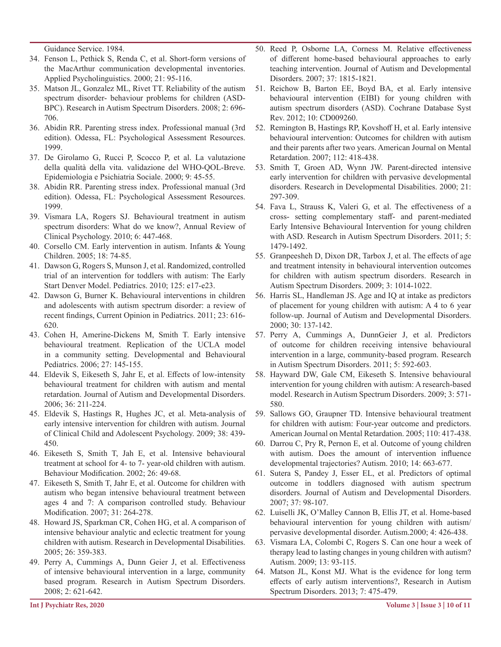Guidance Service. 1984.

- 34. Fenson L, Pethick S, Renda C, et al. Short-form versions of the MacArthur communication developmental inventories. Applied Psycholinguistics. 2000; 21: 95-116.
- 35. Matson JL, Gonzalez ML, Rivet TT. Reliability of the autism spectrum disorder- behaviour problems for children (ASD-BPC). Research in Autism Spectrum Disorders. 2008; 2: 696- 706.
- 36. Abidin RR. Parenting stress index. Professional manual (3rd edition). Odessa, FL: Psychological Assessment Resources. 1999.
- 37. De Girolamo G, Rucci P, Scocco P, et al. La valutazione della qualità della vita. validazione del WHO-QOL-Breve. Epidemiologia e Psichiatria Sociale. 2000; 9: 45-55.
- 38. Abidin RR. Parenting stress index. Professional manual (3rd edition). Odessa, FL: Psychological Assessment Resources. 1999.
- 39. Vismara LA, Rogers SJ. Behavioural treatment in autism spectrum disorders: What do we know?, Annual Review of Clinical Psychology. 2010; 6: 447-468.
- 40. Corsello CM. Early intervention in autism. Infants & Young Children. 2005; 18: 74-85.
- 41. Dawson G, Rogers S, Munson J, et al. Randomized, controlled trial of an intervention for toddlers with autism: The Early Start Denver Model. Pediatrics. 2010; 125: e17-e23.
- 42. Dawson G, Burner K. Behavioural interventions in children and adolescents with autism spectrum disorder: a review of recent findings, Current Opinion in Pediatrics. 2011; 23: 616- 620.
- 43. Cohen H, Amerine-Dickens M, Smith T. Early intensive behavioural treatment. Replication of the UCLA model in a community setting. Developmental and Behavioural Pediatrics. 2006; 27: 145-155.
- 44. Eldevik S, Eikeseth S, Jahr E, et al. Effects of low-intensity behavioural treatment for children with autism and mental retardation. Journal of Autism and Developmental Disorders. 2006; 36: 211-224.
- 45. Eldevik S, Hastings R, Hughes JC, et al. Meta-analysis of early intensive intervention for children with autism. Journal of Clinical Child and Adolescent Psychology. 2009; 38: 439- 450.
- 46. Eikeseth S, Smith T, Jah E, et al. Intensive behavioural treatment at school for 4- to 7- year-old children with autism. Behaviour Modification. 2002; 26: 49-68.
- 47. Eikeseth S, Smith T, Jahr E, et al. Outcome for children with autism who began intensive behavioural treatment between ages 4 and 7: A comparison controlled study. Behaviour Modification. 2007; 31: 264-278.
- 48. Howard JS, Sparkman CR, Cohen HG, et al. A comparison of intensive behaviour analytic and eclectic treatment for young children with autism. Research in Developmental Disabilities. 2005; 26: 359-383.
- 49. Perry A, Cummings A, Dunn Geier J, et al. Effectiveness of intensive behavioural intervention in a large, community based program. Research in Autism Spectrum Disorders. 2008; 2: 621-642.
- 50. Reed P, Osborne LA, Corness M. Relative effectiveness of different home-based behavioural approaches to early teaching intervention. Journal of Autism and Developmental Disorders. 2007; 37: 1815-1821.
- 51. Reichow B, Barton EE, Boyd BA, et al. Early intensive behavioural intervention (EIBI) for young children with autism spectrum disorders (ASD). Cochrane Database Syst Rev. 2012; 10: CD009260.
- 52. Remington B, Hastings RP, Kovshoff H, et al. Early intensive behavioural intervention: Outcomes for children with autism and their parents after two years. American Journal on Mental Retardation. 2007; 112: 418-438.
- 53. Smith T, Groen AD, Wynn JW. Parent-directed intensive early intervention for children with pervasive developmental disorders. Research in Developmental Disabilities. 2000; 21: 297-309.
- 54. Fava L, Strauss K, Valeri G, et al. The effectiveness of a cross- setting complementary staff- and parent-mediated Early Intensive Behavioural Intervention for young children with ASD. Research in Autism Spectrum Disorders. 2011; 5: 1479-1492.
- 55. Granpeesheh D, Dixon DR, Tarbox J, et al. The effects of age and treatment intensity in behavioural intervention outcomes for children with autism spectrum disorders. Research in Autism Spectrum Disorders. 2009; 3: 1014-1022.
- 56. Harris SL, Handleman JS. Age and IQ at intake as predictors of placement for young children with autism: A 4 to 6 year follow-up. Journal of Autism and Developmental Disorders. 2000; 30: 137-142.
- 57. Perry A, Cummings A, DunnGeier J, et al. Predictors of outcome for children receiving intensive behavioural intervention in a large, community-based program. Research in Autism Spectrum Disorders. 2011; 5: 592-603.
- 58. Hayward DW, Gale CM, Eikeseth S. Intensive behavioural intervention for young children with autism: A research-based model. Research in Autism Spectrum Disorders. 2009; 3: 571- 580.
- 59. Sallows GO, Graupner TD. Intensive behavioural treatment for children with autism: Four-year outcome and predictors. American Journal on Mental Retardation. 2005; 110: 417-438.
- 60. Darrou C, Pry R, Pernon E, et al. Outcome of young children with autism. Does the amount of intervention influence developmental trajectories? Autism. 2010; 14: 663-677.
- 61. Sutera S, Pandey J, Esser EL, et al. Predictors of optimal outcome in toddlers diagnosed with autism spectrum disorders. Journal of Autism and Developmental Disorders. 2007; 37: 98-107.
- 62. Luiselli JK, O'Malley Cannon B, Ellis JT, et al. Home-based behavioural intervention for young children with autism/ pervasive developmental disorder. Autism.2000; 4: 426-438.
- 63. Vismara LA, Colombi C, Rogers S. Can one hour a week of therapy lead to lasting changes in young children with autism? Autism. 2009; 13: 93-115.
- 64. Matson JL, Konst MJ. What is the evidence for long term effects of early autism interventions?, Research in Autism Spectrum Disorders. 2013; 7: 475-479.